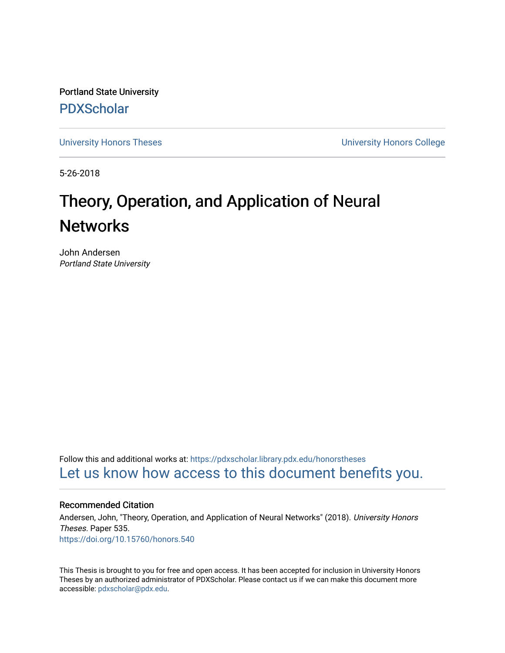Portland State University [PDXScholar](https://pdxscholar.library.pdx.edu/)

[University Honors Theses](https://pdxscholar.library.pdx.edu/honorstheses) [University Honors College](https://pdxscholar.library.pdx.edu/honors) 

5-26-2018

# Theory, Operation, and Application of Neural **Networks**

John Andersen Portland State University

Follow this and additional works at: [https://pdxscholar.library.pdx.edu/honorstheses](https://pdxscholar.library.pdx.edu/honorstheses?utm_source=pdxscholar.library.pdx.edu%2Fhonorstheses%2F535&utm_medium=PDF&utm_campaign=PDFCoverPages)  [Let us know how access to this document benefits you.](http://library.pdx.edu/services/pdxscholar-services/pdxscholar-feedback/) 

#### Recommended Citation

Andersen, John, "Theory, Operation, and Application of Neural Networks" (2018). University Honors Theses. Paper 535. <https://doi.org/10.15760/honors.540>

This Thesis is brought to you for free and open access. It has been accepted for inclusion in University Honors Theses by an authorized administrator of PDXScholar. Please contact us if we can make this document more accessible: [pdxscholar@pdx.edu.](mailto:pdxscholar@pdx.edu)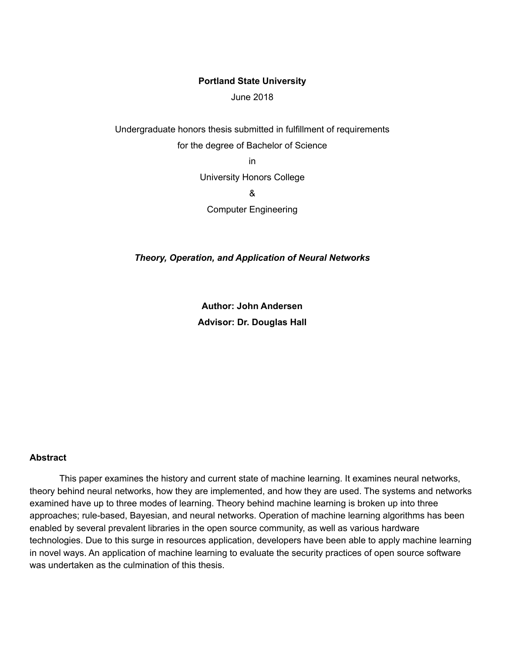#### **Portland State University**

June 2018

Undergraduate honors thesis submitted in fulfillment of requirements for the degree of Bachelor of Science

in

University Honors College

&

Computer Engineering

*Theory, Operation, and Application of Neural Networks*

**Author: John Andersen Advisor: Dr. Douglas Hall**

#### **Abstract**

This paper examines the history and current state of machine learning. It examines neural networks, theory behind neural networks, how they are implemented, and how they are used. The systems and networks examined have up to three modes of learning. Theory behind machine learning is broken up into three approaches; rule-based, Bayesian, and neural networks. Operation of machine learning algorithms has been enabled by several prevalent libraries in the open source community, as well as various hardware technologies. Due to this surge in resources application, developers have been able to apply machine learning in novel ways. An application of machine learning to evaluate the security practices of open source software was undertaken as the culmination of this thesis.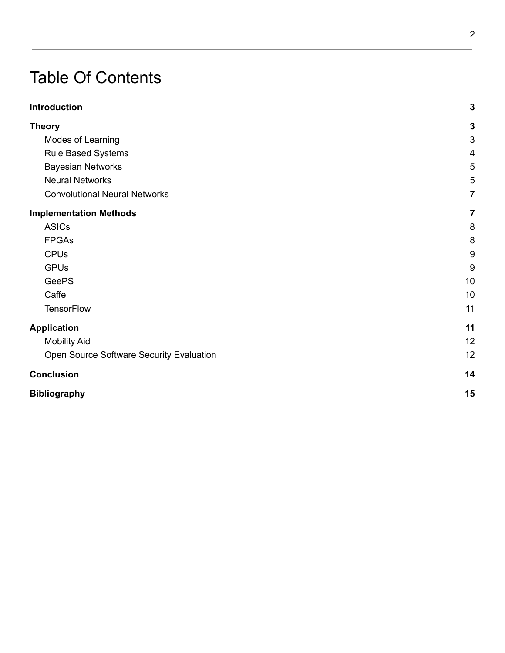# Table Of Contents

| <b>Introduction</b>                      | $\mathbf{3}$   |
|------------------------------------------|----------------|
| <b>Theory</b>                            | $\mathbf{3}$   |
| Modes of Learning                        | $\sqrt{3}$     |
| Rule Based Systems                       | 4              |
| <b>Bayesian Networks</b>                 | 5              |
| <b>Neural Networks</b>                   | 5              |
| <b>Convolutional Neural Networks</b>     | $\overline{7}$ |
| <b>Implementation Methods</b>            | $\overline{7}$ |
| <b>ASICs</b>                             | 8              |
| <b>FPGAs</b>                             | 8              |
| <b>CPUs</b>                              | $\overline{9}$ |
| <b>GPUs</b>                              | 9              |
| <b>GeePS</b>                             | 10             |
| Caffe                                    | 10             |
| <b>TensorFlow</b>                        | 11             |
| <b>Application</b>                       | 11             |
| <b>Mobility Aid</b>                      | 12             |
| Open Source Software Security Evaluation | 12             |
| <b>Conclusion</b>                        | 14             |
| <b>Bibliography</b>                      | 15             |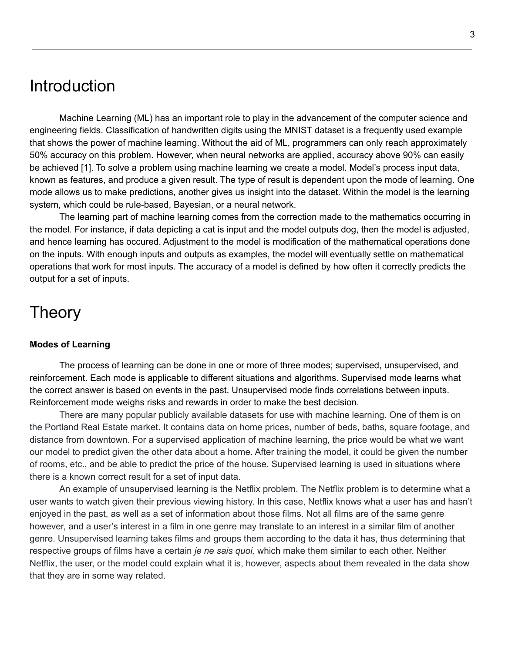### <span id="page-3-0"></span>Introduction

Machine Learning (ML) has an important role to play in the advancement of the computer science and engineering fields. Classification of handwritten digits using the MNIST dataset is a frequently used example that shows the power of machine learning. Without the aid of ML, programmers can only reach approximately 50% accuracy on this problem. However, when neural networks are applied, accuracy above 90% can easily be achieved [1]. To solve a problem using machine learning we create a model. Model's process input data, known as features, and produce a given result. The type of result is dependent upon the mode of learning. One mode allows us to make predictions, another gives us insight into the dataset. Within the model is the learning system, which could be rule-based, Bayesian, or a neural network.

The learning part of machine learning comes from the correction made to the mathematics occurring in the model. For instance, if data depicting a cat is input and the model outputs dog, then the model is adjusted, and hence learning has occured. Adjustment to the model is modification of the mathematical operations done on the inputs. With enough inputs and outputs as examples, the model will eventually settle on mathematical operations that work for most inputs. The accuracy of a model is defined by how often it correctly predicts the output for a set of inputs.

### <span id="page-3-1"></span>Theory

#### <span id="page-3-2"></span>**Modes of Learning**

The process of learning can be done in one or more of three modes; supervised, unsupervised, and reinforcement. Each mode is applicable to different situations and algorithms. Supervised mode learns what the correct answer is based on events in the past. Unsupervised mode finds correlations between inputs. Reinforcement mode weighs risks and rewards in order to make the best decision.

There are many popular publicly available datasets for use with machine learning. One of them is on the Portland Real Estate market. It contains data on home prices, number of beds, baths, square footage, and distance from downtown. For a supervised application of machine learning, the price would be what we want our model to predict given the other data about a home. After training the model, it could be given the number of rooms, etc., and be able to predict the price of the house. Supervised learning is used in situations where there is a known correct result for a set of input data.

An example of unsupervised learning is the Netflix problem. The Netflix problem is to determine what a user wants to watch given their previous viewing history. In this case, Netflix knows what a user has and hasn't enjoyed in the past, as well as a set of information about those films. Not all films are of the same genre however, and a user's interest in a film in one genre may translate to an interest in a similar film of another genre. Unsupervised learning takes films and groups them according to the data it has, thus determining that respective groups of films have a certain *je ne sais quoi,* which make them similar to each other. Neither Netflix, the user, or the model could explain what it is, however, aspects about them revealed in the data show that they are in some way related.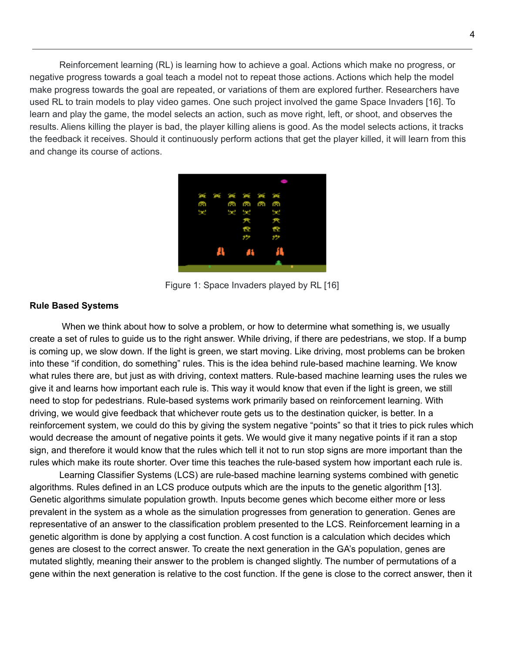Reinforcement learning (RL) is learning how to achieve a goal. Actions which make no progress, or negative progress towards a goal teach a model not to repeat those actions. Actions which help the model make progress towards the goal are repeated, or variations of them are explored further. Researchers have used RL to train models to play video games. One such project involved the game Space Invaders [16]. To learn and play the game, the model selects an action, such as move right, left, or shoot, and observes the results. Aliens killing the player is bad, the player killing aliens is good. As the model selects actions, it tracks the feedback it receives. Should it continuously perform actions that get the player killed, it will learn from this and change its course of actions.

|      |  | O             |  |    |  |
|------|--|---------------|--|----|--|
|      |  | <b>MMMMMM</b> |  |    |  |
| ß.   |  | ത്ത് ത്ത്     |  |    |  |
| o pr |  | 52 52         |  | Ĩ. |  |
|      |  | 兲             |  | 犬  |  |
|      |  | 7             |  | f? |  |
|      |  | J.            |  | 17 |  |
|      |  | 4             |  | л  |  |
|      |  |               |  |    |  |

Figure 1: Space Invaders played by RL [16]

#### <span id="page-4-0"></span>**Rule Based Systems**

When we think about how to solve a problem, or how to determine what something is, we usually create a set of rules to guide us to the right answer. While driving, if there are pedestrians, we stop. If a bump is coming up, we slow down. If the light is green, we start moving. Like driving, most problems can be broken into these "if condition, do something" rules. This is the idea behind rule-based machine learning. We know what rules there are, but just as with driving, context matters. Rule-based machine learning uses the rules we give it and learns how important each rule is. This way it would know that even if the light is green, we still need to stop for pedestrians. Rule-based systems work primarily based on reinforcement learning. With driving, we would give feedback that whichever route gets us to the destination quicker, is better. In a reinforcement system, we could do this by giving the system negative "points" so that it tries to pick rules which would decrease the amount of negative points it gets. We would give it many negative points if it ran a stop sign, and therefore it would know that the rules which tell it not to run stop signs are more important than the rules which make its route shorter. Over time this teaches the rule-based system how important each rule is.

Learning Classifier Systems (LCS) are rule-based machine learning systems combined with genetic algorithms. Rules defined in an LCS produce outputs which are the inputs to the genetic algorithm [13]. Genetic algorithms simulate population growth. Inputs become genes which become either more or less prevalent in the system as a whole as the simulation progresses from generation to generation. Genes are representative of an answer to the classification problem presented to the LCS. Reinforcement learning in a genetic algorithm is done by applying a cost function. A cost function is a calculation which decides which genes are closest to the correct answer. To create the next generation in the GA's population, genes are mutated slightly, meaning their answer to the problem is changed slightly. The number of permutations of a gene within the next generation is relative to the cost function. If the gene is close to the correct answer, then it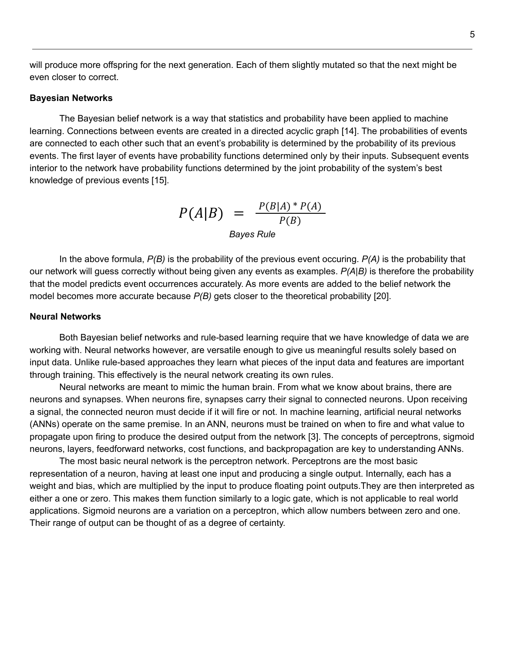will produce more offspring for the next generation. Each of them slightly mutated so that the next might be even closer to correct.

#### <span id="page-5-0"></span>**Bayesian Networks**

The Bayesian belief network is a way that statistics and probability have been applied to machine learning. Connections between events are created in a directed acyclic graph [14]. The probabilities of events are connected to each other such that an event's probability is determined by the probability of its previous events. The first layer of events have probability functions determined only by their inputs. Subsequent events interior to the network have probability functions determined by the joint probability of the system's best knowledge of previous events [15].

$$
P(A|B) = \frac{P(B|A) * P(A)}{P(B)}
$$
  
Bayes Rule

In the above formula, *P(B)* is the probability of the previous event occuring. *P(A)* is the probability that our network will guess correctly without being given any events as examples. *P(A|B)* is therefore the probability that the model predicts event occurrences accurately. As more events are added to the belief network the model becomes more accurate because *P(B)* gets closer to the theoretical probability [20].

#### <span id="page-5-1"></span>**Neural Networks**

Both Bayesian belief networks and rule-based learning require that we have knowledge of data we are working with. Neural networks however, are versatile enough to give us meaningful results solely based on input data. Unlike rule-based approaches they learn what pieces of the input data and features are important through training. This effectively is the neural network creating its own rules.

Neural networks are meant to mimic the human brain. From what we know about brains, there are neurons and synapses. When neurons fire, synapses carry their signal to connected neurons. Upon receiving a signal, the connected neuron must decide if it will fire or not. In machine learning, artificial neural networks (ANNs) operate on the same premise. In an ANN, neurons must be trained on when to fire and what value to propagate upon firing to produce the desired output from the network [3]. The concepts of perceptrons, sigmoid neurons, layers, feedforward networks, cost functions, and backpropagation are key to understanding ANNs.

The most basic neural network is the perceptron network. Perceptrons are the most basic representation of a neuron, having at least one input and producing a single output. Internally, each has a weight and bias, which are multiplied by the input to produce floating point outputs.They are then interpreted as either a one or zero. This makes them function similarly to a logic gate, which is not applicable to real world applications. Sigmoid neurons are a variation on a perceptron, which allow numbers between zero and one. Their range of output can be thought of as a degree of certainty.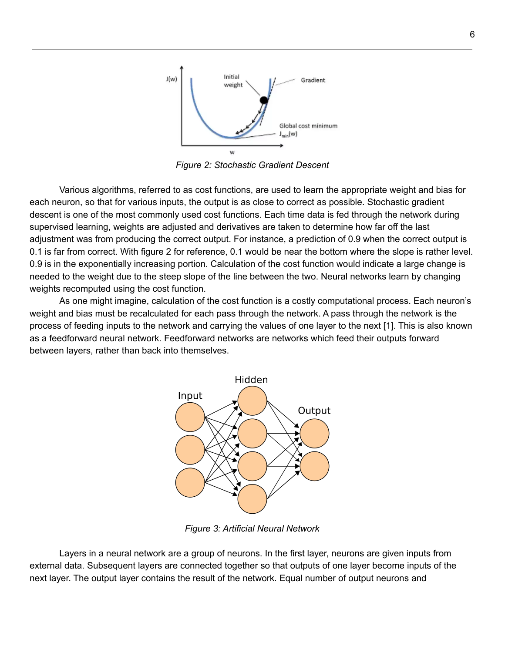

*Figure 2: Stochastic Gradient Descent*

Various algorithms, referred to as cost functions, are used to learn the appropriate weight and bias for each neuron, so that for various inputs, the output is as close to correct as possible. Stochastic gradient descent is one of the most commonly used cost functions. Each time data is fed through the network during supervised learning, weights are adjusted and derivatives are taken to determine how far off the last adjustment was from producing the correct output. For instance, a prediction of 0.9 when the correct output is 0.1 is far from correct. With figure 2 for reference, 0.1 would be near the bottom where the slope is rather level. 0.9 is in the exponentially increasing portion. Calculation of the cost function would indicate a large change is needed to the weight due to the steep slope of the line between the two. Neural networks learn by changing weights recomputed using the cost function.

As one might imagine, calculation of the cost function is a costly computational process. Each neuron's weight and bias must be recalculated for each pass through the network. A pass through the network is the process of feeding inputs to the network and carrying the values of one layer to the next [1]. This is also known as a feedforward neural network. Feedforward networks are networks which feed their outputs forward between layers, rather than back into themselves.



*Figure 3: Artificial Neural Network*

Layers in a neural network are a group of neurons. In the first layer, neurons are given inputs from external data. Subsequent layers are connected together so that outputs of one layer become inputs of the next layer. The output layer contains the result of the network. Equal number of output neurons and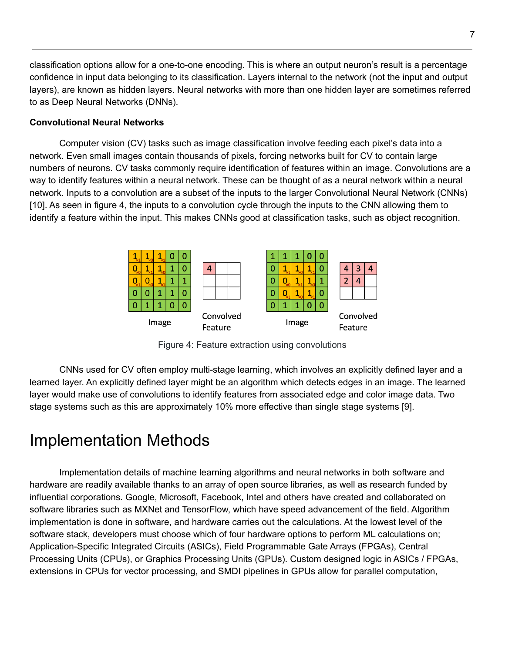classification options allow for a one-to-one encoding. This is where an output neuron's result is a percentage confidence in input data belonging to its classification. Layers internal to the network (not the input and output layers), are known as hidden layers. Neural networks with more than one hidden layer are sometimes referred to as Deep Neural Networks (DNNs).

#### <span id="page-7-0"></span>**Convolutional Neural Networks**

Computer vision (CV) tasks such as image classification involve feeding each pixel's data into a network. Even small images contain thousands of pixels, forcing networks built for CV to contain large numbers of neurons. CV tasks commonly require identification of features within an image. Convolutions are a way to identify features within a neural network. These can be thought of as a neural network within a neural network. Inputs to a convolution are a subset of the inputs to the larger Convolutional Neural Network (CNNs) [10]. As seen in figure 4, the inputs to a convolution cycle through the inputs to the CNN allowing them to identify a feature within the input. This makes CNNs good at classification tasks, such as object recognition.



Figure 4: Feature extraction using convolutions

CNNs used for CV often employ multi-stage learning, which involves an explicitly defined layer and a learned layer. An explicitly defined layer might be an algorithm which detects edges in an image. The learned layer would make use of convolutions to identify features from associated edge and color image data. Two stage systems such as this are approximately 10% more effective than single stage systems [9].

# <span id="page-7-1"></span>Implementation Methods

Implementation details of machine learning algorithms and neural networks in both software and hardware are readily available thanks to an array of open source libraries, as well as research funded by influential corporations. Google, Microsoft, Facebook, Intel and others have created and collaborated on software libraries such as MXNet and TensorFlow, which have speed advancement of the field. Algorithm implementation is done in software, and hardware carries out the calculations. At the lowest level of the software stack, developers must choose which of four hardware options to perform ML calculations on; Application-Specific Integrated Circuits (ASICs), Field Programmable Gate Arrays (FPGAs), Central Processing Units (CPUs), or Graphics Processing Units (GPUs). Custom designed logic in ASICs / FPGAs, extensions in CPUs for vector processing, and SMDI pipelines in GPUs allow for parallel computation,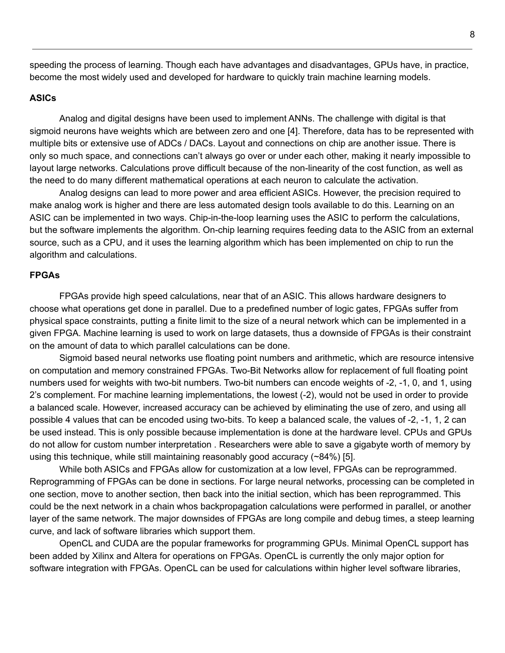speeding the process of learning. Though each have advantages and disadvantages, GPUs have, in practice, become the most widely used and developed for hardware to quickly train machine learning models.

#### <span id="page-8-0"></span>**ASICs**

Analog and digital designs have been used to implement ANNs. The challenge with digital is that sigmoid neurons have weights which are between zero and one [4]. Therefore, data has to be represented with multiple bits or extensive use of ADCs / DACs. Layout and connections on chip are another issue. There is only so much space, and connections can't always go over or under each other, making it nearly impossible to layout large networks. Calculations prove difficult because of the non-linearity of the cost function, as well as the need to do many different mathematical operations at each neuron to calculate the activation.

Analog designs can lead to more power and area efficient ASICs. However, the precision required to make analog work is higher and there are less automated design tools available to do this. Learning on an ASIC can be implemented in two ways. Chip-in-the-loop learning uses the ASIC to perform the calculations, but the software implements the algorithm. On-chip learning requires feeding data to the ASIC from an external source, such as a CPU, and it uses the learning algorithm which has been implemented on chip to run the algorithm and calculations.

#### <span id="page-8-1"></span>**FPGAs**

FPGAs provide high speed calculations, near that of an ASIC. This allows hardware designers to choose what operations get done in parallel. Due to a predefined number of logic gates, FPGAs suffer from physical space constraints, putting a finite limit to the size of a neural network which can be implemented in a given FPGA. Machine learning is used to work on large datasets, thus a downside of FPGAs is their constraint on the amount of data to which parallel calculations can be done.

Sigmoid based neural networks use floating point numbers and arithmetic, which are resource intensive on computation and memory constrained FPGAs. Two-Bit Networks allow for replacement of full floating point numbers used for weights with two-bit numbers. Two-bit numbers can encode weights of -2, -1, 0, and 1, using 2's complement. For machine learning implementations, the lowest (-2), would not be used in order to provide a balanced scale. However, increased accuracy can be achieved by eliminating the use of zero, and using all possible 4 values that can be encoded using two-bits. To keep a balanced scale, the values of -2, -1, 1, 2 can be used instead. This is only possible because implementation is done at the hardware level. CPUs and GPUs do not allow for custom number interpretation . Researchers were able to save a gigabyte worth of memory by using this technique, while still maintaining reasonably good accuracy  $(~84\%)$  [5].

While both ASICs and FPGAs allow for customization at a low level, FPGAs can be reprogrammed. Reprogramming of FPGAs can be done in sections. For large neural networks, processing can be completed in one section, move to another section, then back into the initial section, which has been reprogrammed. This could be the next network in a chain whos backpropagation calculations were performed in parallel, or another layer of the same network. The major downsides of FPGAs are long compile and debug times, a steep learning curve, and lack of software libraries which support them.

OpenCL and CUDA are the popular frameworks for programming GPUs. Minimal OpenCL support has been added by Xilinx and Altera for operations on FPGAs. OpenCL is currently the only major option for software integration with FPGAs. OpenCL can be used for calculations within higher level software libraries,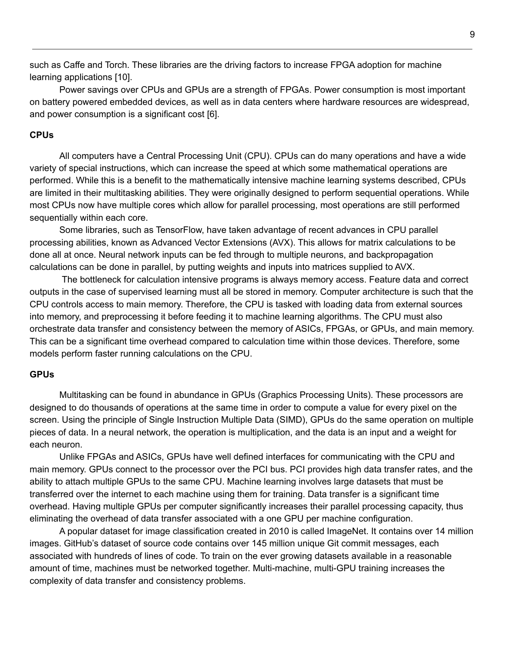such as Caffe and Torch. These libraries are the driving factors to increase FPGA adoption for machine learning applications [10].

Power savings over CPUs and GPUs are a strength of FPGAs. Power consumption is most important on battery powered embedded devices, as well as in data centers where hardware resources are widespread, and power consumption is a significant cost [6].

#### <span id="page-9-0"></span>**CPUs**

All computers have a Central Processing Unit (CPU). CPUs can do many operations and have a wide variety of special instructions, which can increase the speed at which some mathematical operations are performed. While this is a benefit to the mathematically intensive machine learning systems described, CPUs are limited in their multitasking abilities. They were originally designed to perform sequential operations. While most CPUs now have multiple cores which allow for parallel processing, most operations are still performed sequentially within each core.

Some libraries, such as TensorFlow, have taken advantage of recent advances in CPU parallel processing abilities, known as Advanced Vector Extensions (AVX). This allows for matrix calculations to be done all at once. Neural network inputs can be fed through to multiple neurons, and backpropagation calculations can be done in parallel, by putting weights and inputs into matrices supplied to AVX.

The bottleneck for calculation intensive programs is always memory access. Feature data and correct outputs in the case of supervised learning must all be stored in memory. Computer architecture is such that the CPU controls access to main memory. Therefore, the CPU is tasked with loading data from external sources into memory, and preprocessing it before feeding it to machine learning algorithms. The CPU must also orchestrate data transfer and consistency between the memory of ASICs, FPGAs, or GPUs, and main memory. This can be a significant time overhead compared to calculation time within those devices. Therefore, some models perform faster running calculations on the CPU.

#### <span id="page-9-1"></span>**GPUs**

Multitasking can be found in abundance in GPUs (Graphics Processing Units). These processors are designed to do thousands of operations at the same time in order to compute a value for every pixel on the screen. Using the principle of Single Instruction Multiple Data (SIMD), GPUs do the same operation on multiple pieces of data. In a neural network, the operation is multiplication, and the data is an input and a weight for each neuron.

Unlike FPGAs and ASICs, GPUs have well defined interfaces for communicating with the CPU and main memory. GPUs connect to the processor over the PCI bus. PCI provides high data transfer rates, and the ability to attach multiple GPUs to the same CPU. Machine learning involves large datasets that must be transferred over the internet to each machine using them for training. Data transfer is a significant time overhead. Having multiple GPUs per computer significantly increases their parallel processing capacity, thus eliminating the overhead of data transfer associated with a one GPU per machine configuration.

A popular dataset for image classification created in 2010 is called ImageNet. It contains over 14 million images. GitHub's dataset of source code contains over 145 million unique Git commit messages, each associated with hundreds of lines of code. To train on the ever growing datasets available in a reasonable amount of time, machines must be networked together. Multi-machine, multi-GPU training increases the complexity of data transfer and consistency problems.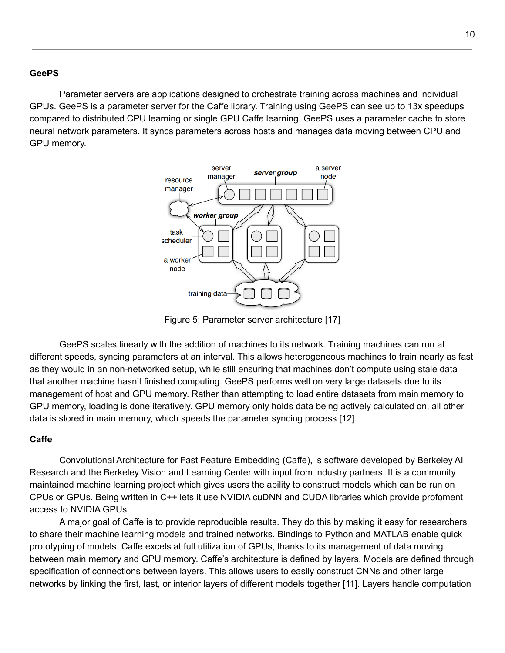#### <span id="page-10-0"></span>**GeePS**

Parameter servers are applications designed to orchestrate training across machines and individual GPUs. GeePS is a parameter server for the Caffe library. Training using GeePS can see up to 13x speedups compared to distributed CPU learning or single GPU Caffe learning. GeePS uses a parameter cache to store neural network parameters. It syncs parameters across hosts and manages data moving between CPU and GPU memory.



Figure 5: Parameter server architecture [17]

GeePS scales linearly with the addition of machines to its network. Training machines can run at different speeds, syncing parameters at an interval. This allows heterogeneous machines to train nearly as fast as they would in an non-networked setup, while still ensuring that machines don't compute using stale data that another machine hasn't finished computing. GeePS performs well on very large datasets due to its management of host and GPU memory. Rather than attempting to load entire datasets from main memory to GPU memory, loading is done iteratively. GPU memory only holds data being actively calculated on, all other data is stored in main memory, which speeds the parameter syncing process [12].

#### <span id="page-10-1"></span>**Caffe**

Convolutional Architecture for Fast Feature Embedding (Caffe), is software developed by Berkeley AI Research and the Berkeley Vision and Learning Center with input from industry partners. It is a community maintained machine learning project which gives users the ability to construct models which can be run on CPUs or GPUs. Being written in C++ lets it use NVIDIA cuDNN and CUDA libraries which provide profoment access to NVIDIA GPUs.

A major goal of Caffe is to provide reproducible results. They do this by making it easy for researchers to share their machine learning models and trained networks. Bindings to Python and MATLAB enable quick prototyping of models. Caffe excels at full utilization of GPUs, thanks to its management of data moving between main memory and GPU memory. Caffe's architecture is defined by layers. Models are defined through specification of connections between layers. This allows users to easily construct CNNs and other large networks by linking the first, last, or interior layers of different models together [11]. Layers handle computation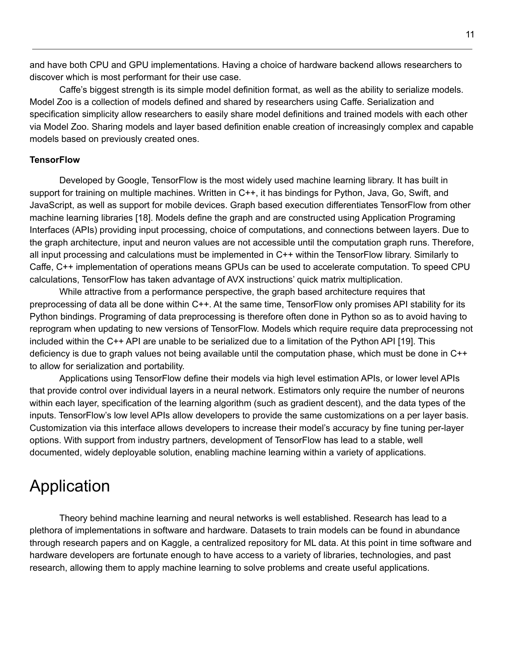and have both CPU and GPU implementations. Having a choice of hardware backend allows researchers to discover which is most performant for their use case.

Caffe's biggest strength is its simple model definition format, as well as the ability to serialize models. Model Zoo is a collection of models defined and shared by researchers using Caffe. Serialization and specification simplicity allow researchers to easily share model definitions and trained models with each other via Model Zoo. Sharing models and layer based definition enable creation of increasingly complex and capable models based on previously created ones.

#### <span id="page-11-0"></span>**TensorFlow**

Developed by Google, TensorFlow is the most widely used machine learning library. It has built in support for training on multiple machines. Written in C++, it has bindings for Python, Java, Go, Swift, and JavaScript, as well as support for mobile devices. Graph based execution differentiates TensorFlow from other machine learning libraries [18]. Models define the graph and are constructed using Application Programing Interfaces (APIs) providing input processing, choice of computations, and connections between layers. Due to the graph architecture, input and neuron values are not accessible until the computation graph runs. Therefore, all input processing and calculations must be implemented in C++ within the TensorFlow library. Similarly to Caffe, C++ implementation of operations means GPUs can be used to accelerate computation. To speed CPU calculations, TensorFlow has taken advantage of AVX instructions' quick matrix multiplication.

While attractive from a performance perspective, the graph based architecture requires that preprocessing of data all be done within C++. At the same time, TensorFlow only promises API stability for its Python bindings. Programing of data preprocessing is therefore often done in Python so as to avoid having to reprogram when updating to new versions of TensorFlow. Models which require require data preprocessing not included within the C++ API are unable to be serialized due to a limitation of the Python API [19]. This deficiency is due to graph values not being available until the computation phase, which must be done in C++ to allow for serialization and portability.

Applications using TensorFlow define their models via high level estimation APIs, or lower level APIs that provide control over individual layers in a neural network. Estimators only require the number of neurons within each layer, specification of the learning algorithm (such as gradient descent), and the data types of the inputs. TensorFlow's low level APIs allow developers to provide the same customizations on a per layer basis. Customization via this interface allows developers to increase their model's accuracy by fine tuning per-layer options. With support from industry partners, development of TensorFlow has lead to a stable, well documented, widely deployable solution, enabling machine learning within a variety of applications.

### <span id="page-11-1"></span>Application

Theory behind machine learning and neural networks is well established. Research has lead to a plethora of implementations in software and hardware. Datasets to train models can be found in abundance through research papers and on Kaggle, a centralized repository for ML data. At this point in time software and hardware developers are fortunate enough to have access to a variety of libraries, technologies, and past research, allowing them to apply machine learning to solve problems and create useful applications.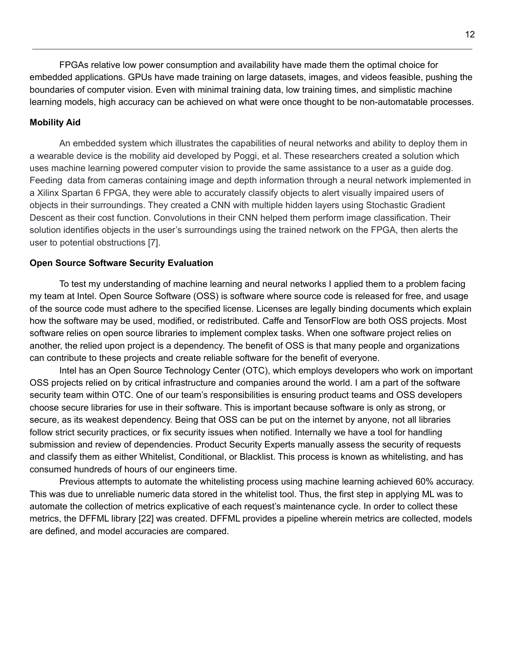FPGAs relative low power consumption and availability have made them the optimal choice for embedded applications. GPUs have made training on large datasets, images, and videos feasible, pushing the boundaries of computer vision. Even with minimal training data, low training times, and simplistic machine learning models, high accuracy can be achieved on what were once thought to be non-automatable processes.

#### <span id="page-12-0"></span>**Mobility Aid**

An embedded system which illustrates the capabilities of neural networks and ability to deploy them in a wearable device is the mobility aid developed by Poggi, et al. These researchers created a solution which uses machine learning powered computer vision to provide the same assistance to a user as a guide dog. Feeding data from cameras containing image and depth information through a neural network implemented in a Xilinx Spartan 6 FPGA, they were able to accurately classify objects to alert visually impaired users of objects in their surroundings. They created a CNN with multiple hidden layers using Stochastic Gradient Descent as their cost function. Convolutions in their CNN helped them perform image classification. Their solution identifies objects in the user's surroundings using the trained network on the FPGA, then alerts the user to potential obstructions [7].

#### <span id="page-12-1"></span>**Open Source Software Security Evaluation**

To test my understanding of machine learning and neural networks I applied them to a problem facing my team at Intel. Open Source Software (OSS) is software where source code is released for free, and usage of the source code must adhere to the specified license. Licenses are legally binding documents which explain how the software may be used, modified, or redistributed. Caffe and TensorFlow are both OSS projects. Most software relies on open source libraries to implement complex tasks. When one software project relies on another, the relied upon project is a dependency. The benefit of OSS is that many people and organizations can contribute to these projects and create reliable software for the benefit of everyone.

Intel has an Open Source Technology Center (OTC), which employs developers who work on important OSS projects relied on by critical infrastructure and companies around the world. I am a part of the software security team within OTC. One of our team's responsibilities is ensuring product teams and OSS developers choose secure libraries for use in their software. This is important because software is only as strong, or secure, as its weakest dependency. Being that OSS can be put on the internet by anyone, not all libraries follow strict security practices, or fix security issues when notified. Internally we have a tool for handling submission and review of dependencies. Product Security Experts manually assess the security of requests and classify them as either Whitelist, Conditional, or Blacklist. This process is known as whitelisting, and has consumed hundreds of hours of our engineers time.

Previous attempts to automate the whitelisting process using machine learning achieved 60% accuracy. This was due to unreliable numeric data stored in the whitelist tool. Thus, the first step in applying ML was to automate the collection of metrics explicative of each request's maintenance cycle. In order to collect these metrics, the DFFML library [22] was created. DFFML provides a pipeline wherein metrics are collected, models are defined, and model accuracies are compared.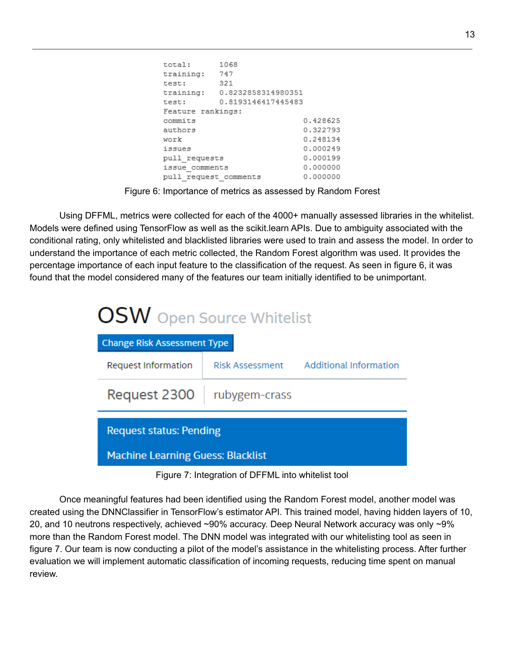```
total: 1068
training: 747
test: 321
training: 0.8232858314980351
test: 0.8193146417445483
Feature rankings:
                           0.428625
commits
                          0.322793
authors
work
                          0.248134
issues
                          0.000249
                          0.000199
pull requests
\frac{1}{1} issue_comments
                          0.000000
pull request comments
                          0.000000
```
Figure 6: Importance of metrics as assessed by Random Forest

Using DFFML, metrics were collected for each of the 4000+ manually assessed libraries in the whitelist. Models were defined using TensorFlow as well as the scikit.learn APIs. Due to ambiguity associated with the conditional rating, only whitelisted and blacklisted libraries were used to train and assess the model. In order to understand the importance of each metric collected, the Random Forest algorithm was used. It provides the percentage importance of each input feature to the classification of the request. As seen in figure 6, it was found that the model considered many of the features our team initially identified to be unimportant.

| <b>OSW</b> Open Source Whitelist         |                 |                               |  |  |  |  |
|------------------------------------------|-----------------|-------------------------------|--|--|--|--|
| <b>Change Risk Assessment Type</b>       |                 |                               |  |  |  |  |
| <b>Request Information</b>               | Risk Assessment | <b>Additional Information</b> |  |  |  |  |
| Request 2300                             | rubygem-crass   |                               |  |  |  |  |
| <b>Request status: Pending</b>           |                 |                               |  |  |  |  |
| <b>Machine Learning Guess: Blacklist</b> |                 |                               |  |  |  |  |

Figure 7: Integration of DFFML into whitelist tool

Once meaningful features had been identified using the Random Forest model, another model was created using the DNNClassifier in TensorFlow's estimator API. This trained model, having hidden layers of 10, 20, and 10 neutrons respectively, achieved ~90% accuracy. Deep Neural Network accuracy was only ~9% more than the Random Forest model. The DNN model was integrated with our whitelisting tool as seen in figure 7. Our team is now conducting a pilot of the model's assistance in the whitelisting process. After further evaluation we will implement automatic classification of incoming requests, reducing time spent on manual review.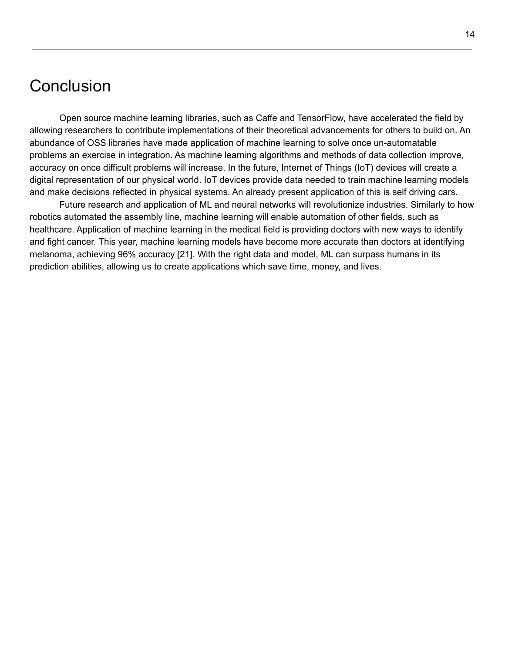### <span id="page-14-0"></span>**Conclusion**

Open source machine learning libraries, such as Caffe and TensorFlow, have accelerated the field by allowing researchers to contribute implementations of their theoretical advancements for others to build on. An abundance of OSS libraries have made application of machine learning to solve once un-automatable problems an exercise in integration. As machine learning algorithms and methods of data collection improve, accuracy on once difficult problems will increase. In the future, Internet of Things (IoT) devices will create a digital representation of our physical world. IoT devices provide data needed to train machine learning models and make decisions reflected in physical systems. An already present application of this is self driving cars.

Future research and application of ML and neural networks will revolutionize industries. Similarly to how robotics automated the assembly line, machine learning will enable automation of other fields, such as healthcare. Application of machine learning in the medical field is providing doctors with new ways to identify and fight cancer. This year, machine learning models have become more accurate than doctors at identifying melanoma, achieving 96% accuracy [21]. With the right data and model, ML can surpass humans in its prediction abilities, allowing us to create applications which save time, money, and lives.